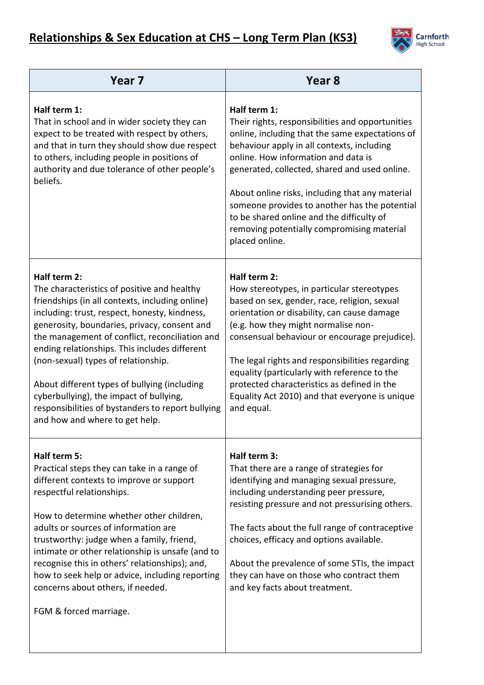

| Year <sub>7</sub>                                                                                                                                                                                                                                                                                                                                                                                                                                                                                                                           | Year <sub>8</sub>                                                                                                                                                                                                                                                                                                                                                                                                                                                          |
|---------------------------------------------------------------------------------------------------------------------------------------------------------------------------------------------------------------------------------------------------------------------------------------------------------------------------------------------------------------------------------------------------------------------------------------------------------------------------------------------------------------------------------------------|----------------------------------------------------------------------------------------------------------------------------------------------------------------------------------------------------------------------------------------------------------------------------------------------------------------------------------------------------------------------------------------------------------------------------------------------------------------------------|
| Half term 1:<br>That in school and in wider society they can<br>expect to be treated with respect by others,<br>and that in turn they should show due respect<br>to others, including people in positions of<br>authority and due tolerance of other people's<br>beliefs.                                                                                                                                                                                                                                                                   | Half term 1:<br>Their rights, responsibilities and opportunities<br>online, including that the same expectations of<br>behaviour apply in all contexts, including<br>online. How information and data is<br>generated, collected, shared and used online.<br>About online risks, including that any material<br>someone provides to another has the potential<br>to be shared online and the difficulty of<br>removing potentially compromising material<br>placed online. |
| Half term 2:<br>The characteristics of positive and healthy<br>friendships (in all contexts, including online)<br>including: trust, respect, honesty, kindness,<br>generosity, boundaries, privacy, consent and<br>the management of conflict, reconciliation and<br>ending relationships. This includes different<br>(non-sexual) types of relationship.<br>About different types of bullying (including<br>cyberbullying), the impact of bullying,<br>responsibilities of bystanders to report bullying<br>and how and where to get help. | Half term 2:<br>How stereotypes, in particular stereotypes<br>based on sex, gender, race, religion, sexual<br>orientation or disability, can cause damage<br>(e.g. how they might normalise non-<br>consensual behaviour or encourage prejudice).<br>The legal rights and responsibilities regarding<br>equality (particularly with reference to the<br>protected characteristics as defined in the<br>Equality Act 2010) and that everyone is unique<br>and equal.        |
| Half term 5:<br>Practical steps they can take in a range of<br>different contexts to improve or support<br>respectful relationships.<br>How to determine whether other children,<br>adults or sources of information are<br>trustworthy: judge when a family, friend,<br>intimate or other relationship is unsafe (and to<br>recognise this in others' relationships); and,<br>how to seek help or advice, including reporting<br>concerns about others, if needed.<br>FGM & forced marriage.                                               | Half term 3:<br>That there are a range of strategies for<br>identifying and managing sexual pressure,<br>including understanding peer pressure,<br>resisting pressure and not pressurising others.<br>The facts about the full range of contraceptive<br>choices, efficacy and options available.<br>About the prevalence of some STIs, the impact<br>they can have on those who contract them<br>and key facts about treatment.                                           |